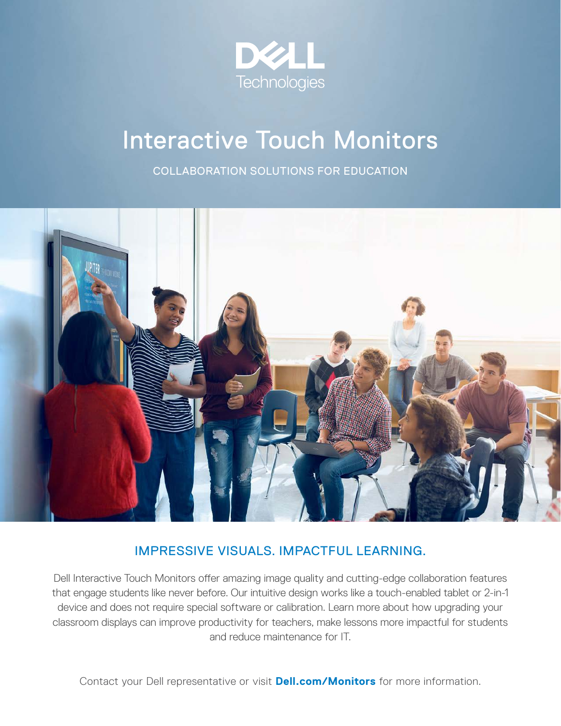

# Interactive Touch Monitors

COLLABORATION SOLUTIONS FOR EDUCATION



## IMPRESSIVE VISUALS. IMPACTFUL LEARNING.

Dell Interactive Touch Monitors offer amazing image quality and cutting-edge collaboration features that engage students like never before. Our intuitive design works like a touch-enabled tablet or 2-in-1 device and does not require special software or calibration. Learn more about how upgrading your classroom displays can improve productivity for teachers, make lessons more impactful for students and reduce maintenance for IT.

Contact your Dell representative or visit **Dell.com/Monitors** for more information.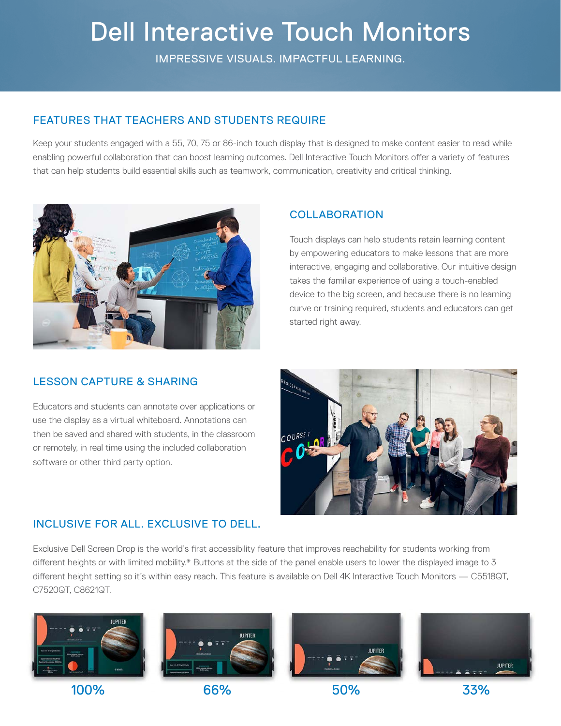# Dell Interactive Touch Monitors

IMPRESSIVE VISUALS. IMPACTFUL LEARNING.

### FEATURES THAT TEACHERS AND STUDENTS REQUIRE

Keep your students engaged with a 55, 70, 75 or 86-inch touch display that is designed to make content easier to read while enabling powerful collaboration that can boost learning outcomes. Dell Interactive Touch Monitors offer a variety of features that can help students build essential skills such as teamwork, communication, creativity and critical thinking.



## **COLLABORATION**

Touch displays can help students retain learning content by empowering educators to make lessons that are more interactive, engaging and collaborative. Our intuitive design takes the familiar experience of using a touch-enabled device to the big screen, and because there is no learning curve or training required, students and educators can get started right away.

### LESSON CAPTURE & SHARING

Educators and students can annotate over applications or use the display as a virtual whiteboard. Annotations can then be saved and shared with students, in the classroom or remotely, in real time using the included collaboration software or other third party option.



### INCLUSIVE FOR ALL. EXCLUSIVE TO DELL.

Exclusive Dell Screen Drop is the world's first accessibility feature that improves reachability for students working from different heights or with limited mobility.\* Buttons at the side of the panel enable users to lower the displayed image to 3 different height setting so it's within easy reach. This feature is available on Dell 4K Interactive Touch Monitors — C5518QT, C7520QT, C8621QT.







100% 66% 50% 33%

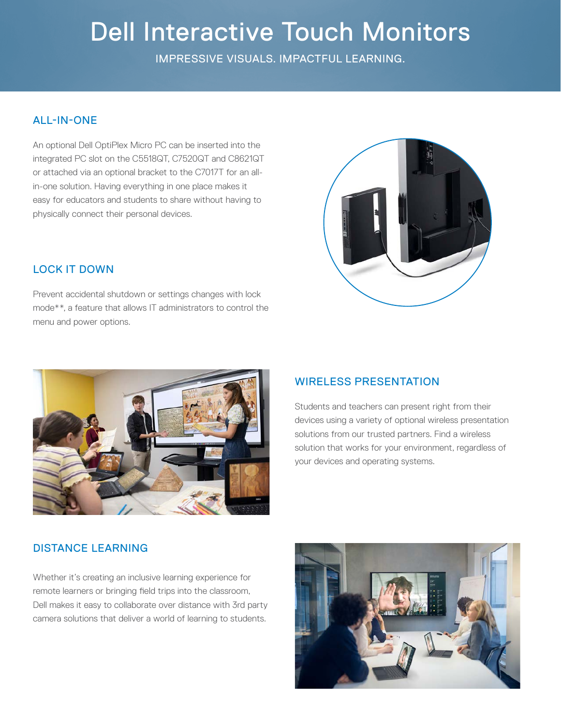# Dell Interactive Touch Monitors

IMPRESSIVE VISUALS. IMPACTFUL LEARNING.

### ALL-IN-ONE

An optional Dell OptiPlex Micro PC can be inserted into the integrated PC slot on the C5518QT, C7520QT and C8621QT or attached via an optional bracket to the C7017T for an allin-one solution. Having everything in one place makes it easy for educators and students to share without having to physically connect their personal devices.



### LOCK IT DOWN

Prevent accidental shutdown or settings changes with lock mode\*\*, a feature that allows IT administrators to control the menu and power options.



### WIRELESS PRESENTATION

Students and teachers can present right from their devices using a variety of optional wireless presentation solutions from our trusted partners. Find a wireless solution that works for your environment, regardless of your devices and operating systems.

### DISTANCE LEARNING

Whether it's creating an inclusive learning experience for remote learners or bringing field trips into the classroom, Dell makes it easy to collaborate over distance with 3rd party camera solutions that deliver a world of learning to students.

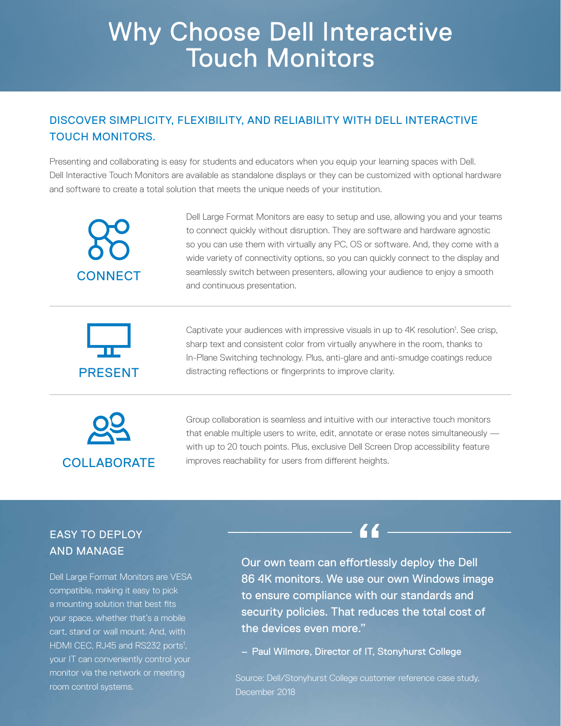# Why Choose Dell Interactive Touch Monitors

## DISCOVER SIMPLICITY, FLEXIBILITY, AND RELIABILITY WITH DELL INTERACTIVE TOUCH MONITORS.

Presenting and collaborating is easy for students and educators when you equip your learning spaces with Dell. Dell Interactive Touch Monitors are available as standalone displays or they can be customized with optional hardware and software to create a total solution that meets the unique needs of your institution.



Dell Large Format Monitors are easy to setup and use, allowing you and your teams to connect quickly without disruption. They are software and hardware agnostic so you can use them with virtually any PC, OS or software. And, they come with a wide variety of connectivity options, so you can quickly connect to the display and seamlessly switch between presenters, allowing your audience to enjoy a smooth and continuous presentation.



Captivate your audiences with impressive visuals in up to 4K resolution<sup>1</sup>. See crisp, sharp text and consistent color from virtually anywhere in the room, thanks to In-Plane Switching technology. Plus, anti-glare and anti-smudge coatings reduce **PRESENT** distracting reflections or fingerprints to improve clarity.



Group collaboration is seamless and intuitive with our interactive touch monitors that enable multiple users to write, edit, annotate or erase notes simultaneously with up to 20 touch points. Plus, exclusive Dell Screen Drop accessibility feature COLLABORATE improves reachability for users from different heights.

## EASY TO DEPLOY AND MANAGE

Dell Large Format Monitors are VESA compatible, making it easy to pick a mounting solution that best fits your space, whether that's a mobile cart, stand or wall mount. And, with HDMI CEC, RJ45 and RS232 ports<sup>1</sup>, your IT can conveniently control your monitor via the network or meeting room control systems.

Our own team can effortlessly deploy the Dell 86 4K monitors. We use our own Windows image to ensure compliance with our standards and security policies. That reduces the total cost of the devices even more."

44.

– Paul Wilmore, Director of IT, Stonyhurst College

Source: Dell/Stonyhurst College customer reference case study, December 2018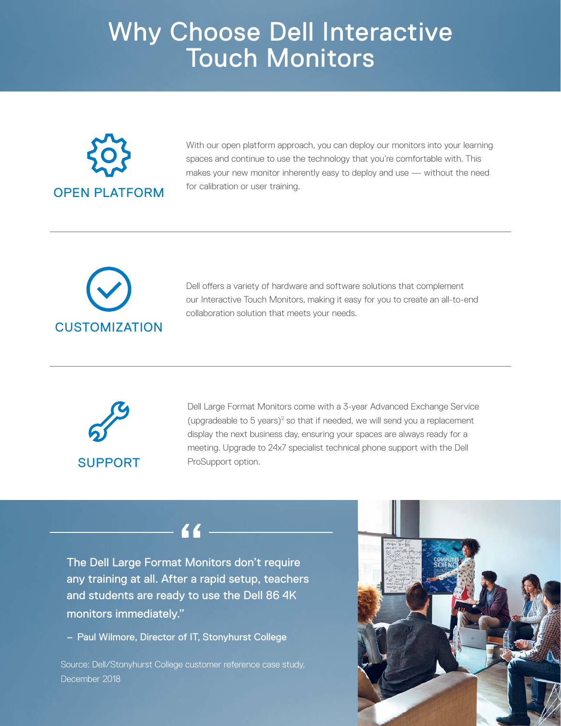# Why Choose Dell Interactive Touch Monitors



With our open platform approach, you can deploy our monitors into your learning spaces and continue to use the technology that you're comfortable with. This makes your new monitor inherently easy to deploy and use — without the need for calibration or user training.



Dell offers a variety of hardware and software solutions that complement our Interactive Touch Monitors, making it easy for you to create an all-to-end collaboration solution that meets your needs.



Dell Large Format Monitors come with a 3-year Advanced Exchange Service (upgradeable to  $5$  years) $2$  so that if needed, we will send you a replacement display the next business day, ensuring your spaces are always ready for a meeting. Upgrade to 24x7 specialist technical phone support with the Dell ProSupport option.

# $66.$

The Dell Large Format Monitors don't require any training at all. After a rapid setup, teachers and students are ready to use the Dell 86 4K monitors immediately."

– Paul Wilmore, Director of IT, Stonyhurst College

Source: Dell/Stonyhurst College customer reference case study, December 2018

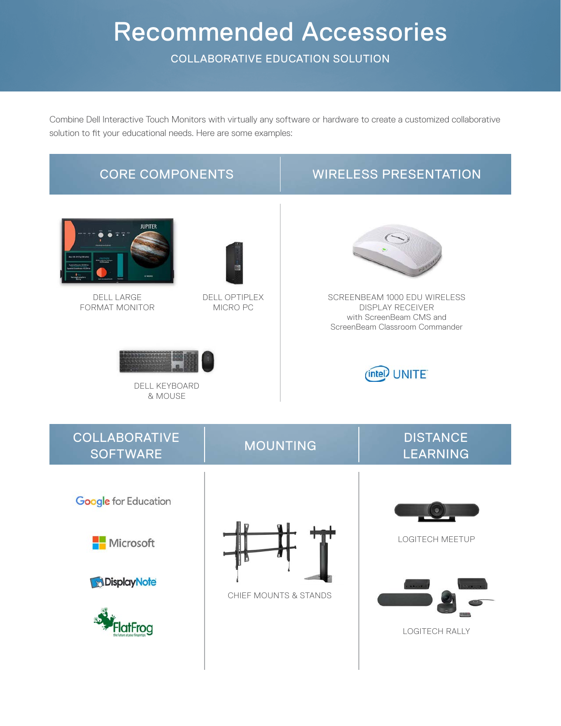# Recommended Accessories

COLLABORATIVE EDUCATION SOLUTION

Combine Dell Interactive Touch Monitors with virtually any software or hardware to create a customized collaborative solution to fit your educational needs. Here are some examples:

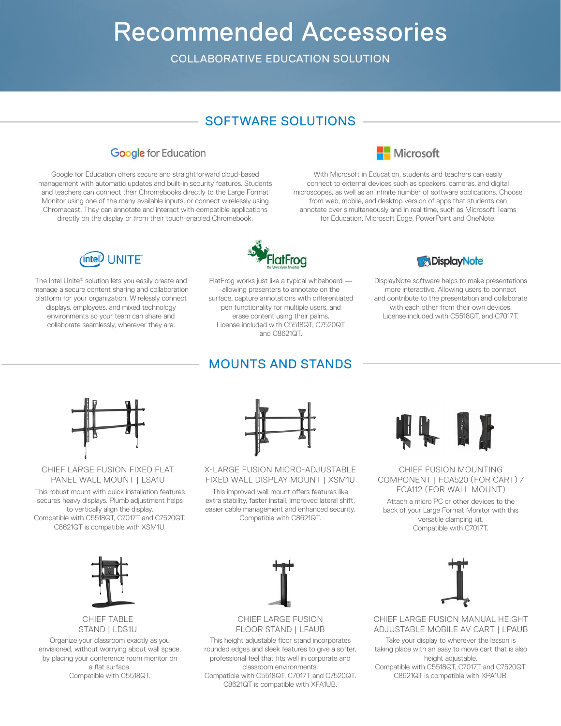# Recommended Accessories

COLLABORATIVE EDUCATION SOLUTION

## SOFTWARE SOLUTIONS



Google for Education offers secure and straightforward cloud-based management with automatic updates and built-in security features. Students and teachers can connect their Chromebooks directly to the Large Format Monitor using one of the many available inputs, or connect wirelessly using Chromecast. They can annotate and interact with compatible applications directly on the display or from their touch-enabled Chromebook.



With Microsoft in Education, students and teachers can easily connect to external devices such as speakers, cameras, and digital microscopes, as well as an infinite number of software applications. Choose from web, mobile, and desktop version of apps that students can annotate over simultaneously and in real time, such as Microsoft Teams for Education, Microsoft Edge, PowerPoint and OneNote.



The Intel Unite® solution lets you easily create and manage a secure content sharing and collaboration platform for your organization. Wirelessly connect displays, employees, and mixed technology environments so your team can share and collaborate seamlessly, wherever they are.



FlatFrog works just like a typical whiteboard allowing presenters to annotate on the surface, capture annotations with differentiated pen functionality for multiple users, and erase content using their palms. License included with C5518QT, C7520QT and C8621QT.

MOUNTS AND STANDS



DisplayNote software helps to make presentations more interactive. Allowing users to connect and contribute to the presentation and collaborate with each other from their own devices. License included with C5518QT, and C7017T.



#### CHIEF LARGE FUSION FIXED FLAT PANEL WALL MOUNT | LSA1U

This robust mount with quick installation features This improved wall mount offers features like FCA112 (FOR WALL MOUNT) secures heavy displays. Plumb adjustment helps to vertically align the display. Compatible with C5518QT, C7017T and C7520QT. C8621QT is compatible with XSM1U.



X-LARGE FUSION MICRO-ADJUSTABLE FIXED WALL DISPLAY MOUNT | XSM1U

This improved wall mount offers features like extra stability, faster install, improved lateral shift, easier cable management and enhanced security. Compatible with C8621QT.



CHIEF FUSION MOUNTING COMPONENT | FCA520 (FOR CART) /

Attach a micro PC or other devices to the back of your Large Format Monitor with this versatile clamping kit. Compatible with C7017T.



### CHIEF TABLE STAND | LDS1U

Organize your classroom exactly as you envisioned, without worrying about wall space, by placing your conference room monitor on a flat surface. Compatible with C5518QT.



#### CHIEF LARGE FUSION FLOOR STAND | LFAUB

This height adjustable floor stand incorporates rounded edges and sleek features to give a softer, professional feel that fits well in corporate and classroom environments. Compatible with C5518QT, C7017T and C7520QT. C8621QT is compatible with XFA1UB.



CHIEF LARGE FUSION MANUAL HEIGHT ADJUSTABLE MOBILE AV CART | LPAUB

Take your display to wherever the lesson is taking place with an easy to move cart that is also height adjustable. Compatible with C5518QT, C7017T and C7520QT.

C8621QT is compatible with XPA1UB.